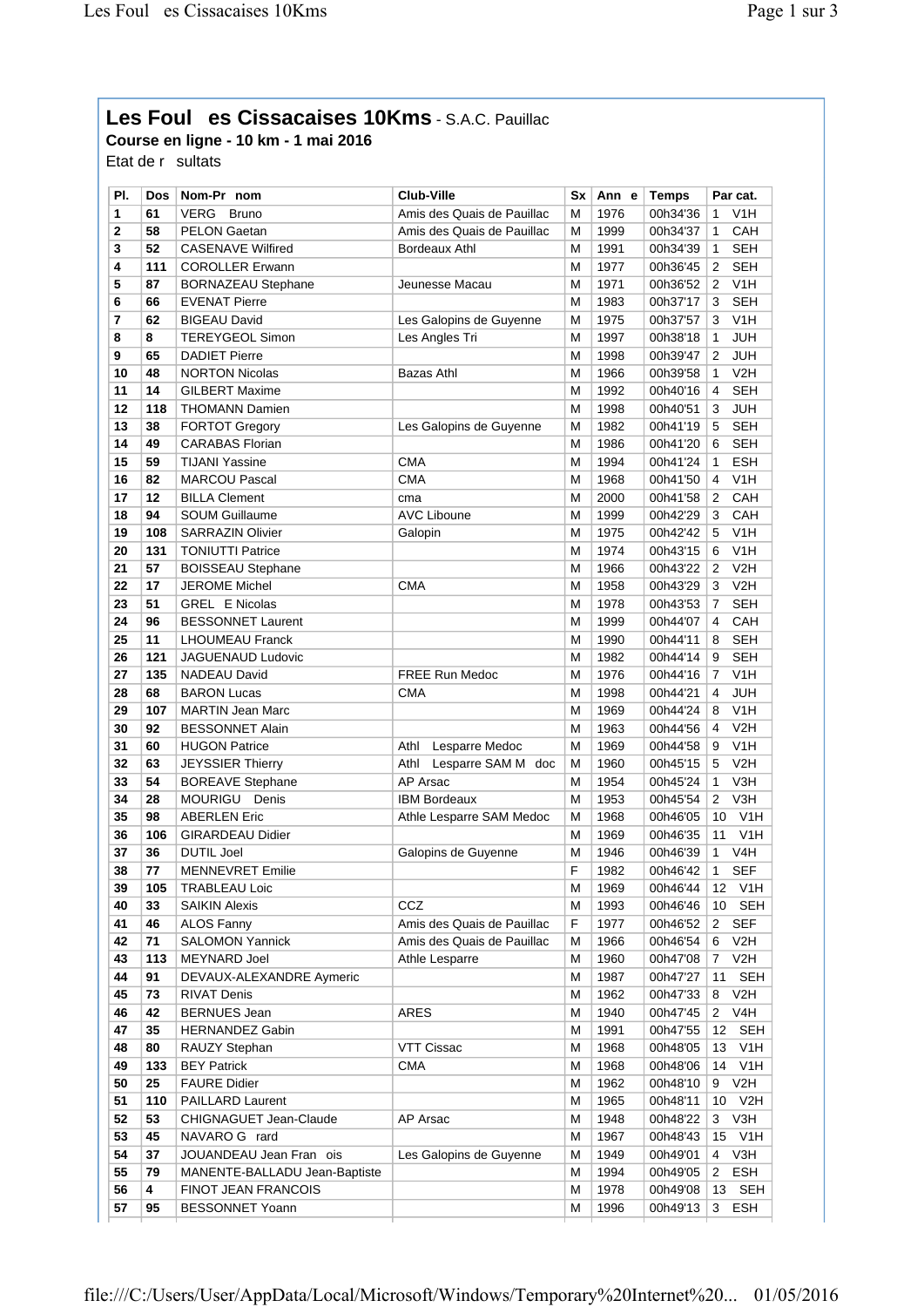## **Les Foules Cissacaises 10Kms** - S.A.C. Pauillac

**Course en ligne - 10 km - 1 mai 2016**

Etat de  $r$  sultats

| PI.         | <b>Dos</b> | Nom-Pr nom                    | <b>Club-Ville</b>          | Sx | Ann e | <b>Temps</b> |                | Par cat.         |
|-------------|------------|-------------------------------|----------------------------|----|-------|--------------|----------------|------------------|
| 1           | 61         | <b>VERG</b><br><b>Bruno</b>   | Amis des Quais de Pauillac | м  | 1976  | 00h34'36     | 1              | V <sub>1</sub> H |
| $\mathbf 2$ | 58         | PELON Gaetan                  | Amis des Quais de Pauillac | М  | 1999  | 00h34'37     | $\mathbf{1}$   | CAH              |
| 3           | 52         | <b>CASENAVE Wilfired</b>      | Bordeaux Athl              | м  | 1991  | 00h34'39     | $\mathbf{1}$   | <b>SEH</b>       |
| 4           | 111        | <b>COROLLER Erwann</b>        |                            | М  | 1977  | 00h36'45     | 2              | <b>SEH</b>       |
| 5           | 87         | <b>BORNAZEAU Stephane</b>     | Jeunesse Macau             | М  | 1971  | 00h36'52     | 2              | V1H              |
| 6           | 66         | <b>EVENAT Pierre</b>          |                            | М  | 1983  | 00h37'17     | 3              | <b>SEH</b>       |
| 7           | 62         | <b>BIGEAU David</b>           | Les Galopins de Guyenne    | М  | 1975  | 00h37'57     | 3              | V1H              |
| 8           | 8          | <b>TEREYGEOL Simon</b>        | Les Angles Tri             | M  | 1997  | 00h38'18     | 1              | <b>JUH</b>       |
| 9           | 65         | <b>DADIET Pierre</b>          |                            | M  | 1998  | 00h39'47     | 2              | <b>JUH</b>       |
| 10          | 48         | <b>NORTON Nicolas</b>         | Bazas Athl                 | M  | 1966  | 00h39'58     | 1              | V2H              |
| 11          | 14         | <b>GILBERT Maxime</b>         |                            | M  | 1992  | 00h40'16     | 4              | <b>SEH</b>       |
| 12          | 118        | <b>THOMANN Damien</b>         |                            | М  | 1998  | 00h40'51     | 3              | <b>JUH</b>       |
| 13          | 38         | <b>FORTOT Gregory</b>         | Les Galopins de Guyenne    | М  | 1982  | 00h41'19     | 5              | <b>SEH</b>       |
| 14          | 49         | <b>CARABAS Florian</b>        |                            | М  | 1986  | 00h41'20     | 6              | <b>SEH</b>       |
| 15          | 59         | <b>TIJANI Yassine</b>         | <b>CMA</b>                 | М  | 1994  | 00h41'24     | $\mathbf{1}$   | <b>ESH</b>       |
| 16          | 82         | <b>MARCOU Pascal</b>          | <b>CMA</b>                 | М  | 1968  | 00h41'50     | 4              | V1H              |
| 17          | 12         | <b>BILLA Clement</b>          | cma                        | М  | 2000  | 00h41'58     | 2              | CAH              |
| 18          | 94         | <b>SOUM Guillaume</b>         | <b>AVC Liboune</b>         | М  | 1999  | 00h42'29     | 3              | CAH              |
| 19          | 108        | <b>SARRAZIN Olivier</b>       | Galopin                    | М  | 1975  | 00h42'42     | 5              | V1H              |
| 20          | 131        | <b>TONIUTTI Patrice</b>       |                            | м  | 1974  | 00h43'15     | 6              | V1H              |
| 21          | 57         | <b>BOISSEAU Stephane</b>      |                            | M  | 1966  | 00h43'22     | 2              | V2H              |
| 22          | 17         | <b>JEROME Michel</b>          | <b>CMA</b>                 | М  | 1958  | 00h43'29     | 3              | V2H              |
| 23          | 51         | <b>GREL E Nicolas</b>         |                            | М  | 1978  | 00h43'53     | $\overline{7}$ | <b>SEH</b>       |
| 24          | 96         | <b>BESSONNET Laurent</b>      |                            | М  | 1999  | 00h44'07     | 4              | CAH              |
| 25          | 11         | <b>LHOUMEAU Franck</b>        |                            | M  | 1990  | 00h44'11     | 8              | <b>SEH</b>       |
| 26          | 121        | JAGUENAUD Ludovic             |                            | М  | 1982  | 00h44'14     | 9              | <b>SEH</b>       |
| 27          | 135        | <b>NADEAU David</b>           | <b>FREE Run Medoc</b>      | М  | 1976  | 00h44'16     | $\overline{7}$ | V1H              |
| 28          | 68         | <b>BARON Lucas</b>            | <b>CMA</b>                 | М  | 1998  | 00h44'21     | 4              | <b>JUH</b>       |
| 29          | 107        | <b>MARTIN Jean Marc</b>       |                            | М  | 1969  | 00h44'24     | 8              | V1H              |
| 30          | 92         | <b>BESSONNET Alain</b>        |                            | M  | 1963  | 00h44'56     | 4              | V2H              |
| 31          | 60         | <b>HUGON Patrice</b>          | Athl<br>Lesparre Medoc     | M  | 1969  | 00h44'58     | 9              | V <sub>1</sub> H |
| 32          | 63         | <b>JEYSSIER Thierry</b>       | Athl<br>Lesparre SAM M doc | M  | 1960  | 00h45'15     | 5              | V2H              |
| 33          | 54         | <b>BOREAVE Stephane</b>       | AP Arsac                   | М  | 1954  | 00h45'24     | $\mathbf{1}$   | V3H              |
| 34          | 28         | MOURIGU Denis                 | <b>IBM Bordeaux</b>        | M  | 1953  | 00h45'54     | 2              | V3H              |
| 35          | 98         | <b>ABERLEN Eric</b>           | Athle Lesparre SAM Medoc   | М  | 1968  | 00h46'05     | 10             | V1H              |
| 36          | 106        | <b>GIRARDEAU Didier</b>       |                            | M  | 1969  | 00h46'35     | 11             | V1H              |
| 37          | 36         | <b>DUTIL Joel</b>             | Galopins de Guyenne        | М  | 1946  | 00h46'39     | 1              | V <sub>4</sub> H |
| 38          | 77         | <b>MENNEVRET Emilie</b>       |                            | F  | 1982  | 00h46'42     | 1              | <b>SEF</b>       |
| 39          | 105        | <b>TRABLEAU Loic</b>          |                            | M  | 1969  | 00h46'44     | 12             | V1H              |
| 40          | 33         | <b>SAIKIN Alexis</b>          | CCZ                        | М  | 1993  | 00h46'46     | 10             | <b>SEH</b>       |
| 41          | 46         | <b>ALOS Fanny</b>             | Amis des Quais de Pauillac | F  | 1977  | 00h46'52     | $\mathbf{2}$   | <b>SEF</b>       |
| 42          | 71         | <b>SALOMON Yannick</b>        | Amis des Quais de Pauillac | М  | 1966  | 00h46'54     | 6              | V2H              |
| 43          | 113        | MEYNARD Joel                  | Athle Lesparre             | М  | 1960  | 00h47'08     | 7              | V2H              |
| 44          | 91         | DEVAUX-ALEXANDRE Aymeric      |                            | М  | 1987  | 00h47'27     | 11             | <b>SEH</b>       |
| 45          | 73         | RIVAT Denis                   |                            | М  | 1962  | 00h47'33     | 8              | V2H              |
| 46          | 42         | <b>BERNUES Jean</b>           | ARES                       | М  | 1940  | 00h47'45     | 2              | V <sub>4</sub> H |
| 47          | 35         | <b>HERNANDEZ Gabin</b>        |                            | М  | 1991  | 00h47'55     | 12             | <b>SEH</b>       |
| 48          | 80         | RAUZY Stephan                 | VTT Cissac                 | М  | 1968  | 00h48'05     | 13             | V <sub>1</sub> H |
| 49          | 133        | <b>BEY Patrick</b>            | <b>CMA</b>                 | М  | 1968  | 00h48'06     | 14             | V <sub>1</sub> H |
| 50          | 25         | <b>FAURE Didier</b>           |                            | М  | 1962  | 00h48'10     | 9              | V2H              |
| 51          | 110        | PAILLARD Laurent              |                            | м  | 1965  | 00h48'11     | 10             | V2H              |
| 52          | 53         | CHIGNAGUET Jean-Claude        | AP Arsac                   | М  | 1948  | 00h48'22     | 3              | V3H              |
| 53          | 45         | NAVARO G rard                 |                            | М  | 1967  | 00h48'43     | 15             | V <sub>1</sub> H |
| 54          | 37         | JOUANDEAU Jean Fran ois       | Les Galopins de Guyenne    | М  | 1949  | 00h49'01     | 4              | V3H              |
| 55          | 79         | MANENTE-BALLADU Jean-Baptiste |                            | М  | 1994  | 00h49'05     | $\overline{2}$ | <b>ESH</b>       |
| 56          | 4          | FINOT JEAN FRANCOIS           |                            | м  | 1978  | 00h49'08     | 13             | <b>SEH</b>       |
| 57          | 95         | <b>BESSONNET Yoann</b>        |                            | М  | 1996  | 00h49'13     | 3              | <b>ESH</b>       |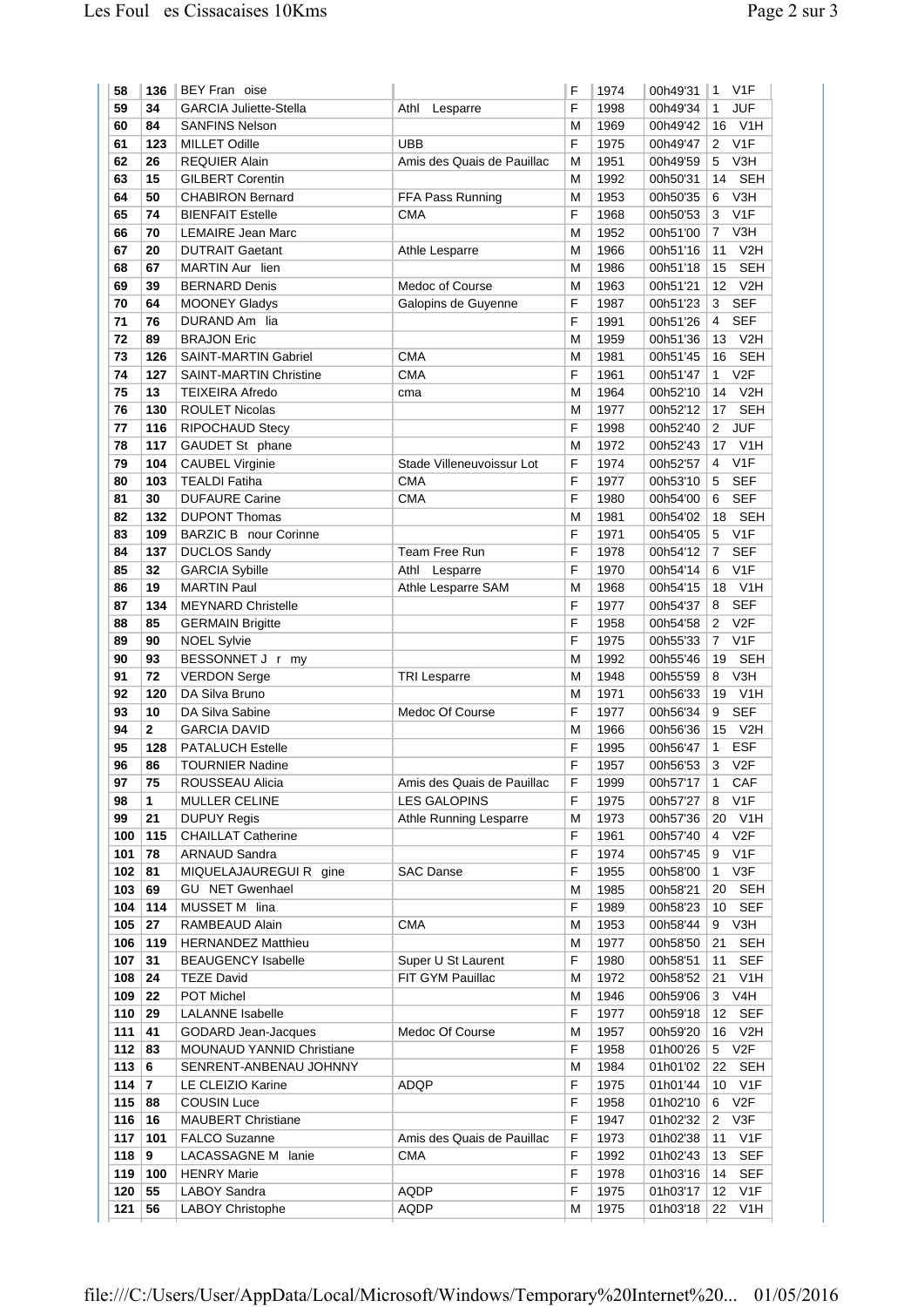| 58            | 136          | BEY Fran oise                                          |                            | F      | 1974         | 00h49'31             | $\mathbf{1}$      | V <sub>1</sub> F         |
|---------------|--------------|--------------------------------------------------------|----------------------------|--------|--------------|----------------------|-------------------|--------------------------|
| 59            | 34           | <b>GARCIA Juliette-Stella</b>                          | Athl<br>Lesparre           | F      | 1998         | 00h49'34             | $\mathbf{1}$      | <b>JUF</b>               |
| 60            | 84           | <b>SANFINS Nelson</b>                                  |                            | М      | 1969         | 00h49'42             | 16                | V <sub>1</sub> H         |
| 61            | 123          | <b>MILLET Odille</b>                                   | <b>UBB</b>                 | F      | 1975         | 00h49'47             | 2                 | V1F                      |
| 62            | 26           | <b>REQUIER Alain</b>                                   | Amis des Quais de Pauillac | М      | 1951         | 00h49'59             | 5                 | V3H                      |
| 63            | 15           | <b>GILBERT Corentin</b>                                |                            | М      | 1992         | 00h50'31             | 14                | <b>SEH</b>               |
| 64            | 50           | <b>CHABIRON Bernard</b>                                | FFA Pass Running           | М      | 1953         | 00h50'35             | 6                 | V <sub>3</sub> H         |
| 65            | 74           | <b>BIENFAIT Estelle</b>                                | <b>CMA</b>                 | F      | 1968         | 00h50'53             | 3                 | V <sub>1F</sub>          |
| 66            | 70           | <b>LEMAIRE Jean Marc</b>                               |                            | М      | 1952         | 00h51'00             | $\overline{7}$    | V3H                      |
| 67            | 20           | <b>DUTRAIT Gaetant</b>                                 | Athle Lesparre             | М      | 1966         | 00h51'16             | 11                | V2H                      |
| 68            | 67           | MARTIN Aur lien                                        |                            | М      | 1986         | 00h51'18             | 15                | <b>SEH</b>               |
| 69            | 39           | <b>BERNARD Denis</b>                                   | Medoc of Course            | М      | 1963         | 00h51'21             | 12                | V <sub>2</sub> H         |
| 70            | 64           | <b>MOONEY Gladys</b>                                   | Galopins de Guyenne        | F      | 1987         | 00h51'23             | 3                 | <b>SEF</b>               |
| 71            | 76           | DURAND Am lia                                          |                            | F      | 1991         | 00h51'26             | 4                 | <b>SEF</b>               |
| 72            | 89           | <b>BRAJON Eric</b>                                     |                            | М      | 1959         | 00h51'36             | 13                | V2H                      |
| 73            | 126          | <b>SAINT-MARTIN Gabriel</b>                            | <b>CMA</b>                 | М      | 1981         | 00h51'45             | 16                | <b>SEH</b>               |
| 74            | 127          | <b>SAINT-MARTIN Christine</b>                          | <b>CMA</b>                 | F      | 1961         | 00h51'47             | $\mathbf{1}$      | V <sub>2F</sub>          |
| 75            | 13           | <b>TEIXEIRA Afredo</b>                                 | cma                        | М      | 1964         | 00h52'10             | 14                | V2H<br><b>SEH</b>        |
| 76<br>77      | 130<br>116   | <b>ROULET Nicolas</b><br><b>RIPOCHAUD Stecy</b>        |                            | М<br>F | 1977<br>1998 | 00h52'12<br>00h52'40 | 17<br>$2^{\circ}$ | <b>JUF</b>               |
| 78            | 117          |                                                        |                            |        | 1972         |                      | 17                | V1H                      |
| 79            | 104          | GAUDET St phane<br><b>CAUBEL Virginie</b>              | Stade Villeneuvoissur Lot  | М<br>F | 1974         | 00h52'43<br>00h52'57 | 4                 | V1F                      |
| 80            | 103          | <b>TEALDI Fatiha</b>                                   | <b>CMA</b>                 | F      | 1977         | 00h53'10             | 5                 | <b>SEF</b>               |
| 81            | 30           | <b>DUFAURE Carine</b>                                  | CMA                        | F      | 1980         | 00h54'00             | 6                 | <b>SEF</b>               |
| 82            | 132          | <b>DUPONT Thomas</b>                                   |                            | М      | 1981         | 00h54'02             | 18                | <b>SEH</b>               |
| 83            | 109          | <b>BARZIC B</b> nour Corinne                           |                            | F      | 1971         | 00h54'05             | 5                 | V1F                      |
| 84            | 137          | <b>DUCLOS Sandy</b>                                    | Team Free Run              | F      | 1978         | 00h54'12             | $\overline{7}$    | <b>SEF</b>               |
| 85            | 32           | <b>GARCIA Sybille</b>                                  | Athl<br>Lesparre           | F      | 1970         | 00h54'14             | 6                 | V1F                      |
| 86            | 19           | <b>MARTIN Paul</b>                                     | Athle Lesparre SAM         | М      | 1968         | 00h54'15             | 18                | V <sub>1</sub> H         |
| 87            | 134          | <b>MEYNARD Christelle</b>                              |                            | F      | 1977         | 00h54'37             | 8                 | <b>SEF</b>               |
| 88            | 85           | <b>GERMAIN Brigitte</b>                                |                            | F      | 1958         | 00h54'58             | $\overline{2}$    | V <sub>2F</sub>          |
| 89            | 90           | <b>NOEL Sylvie</b>                                     |                            | F      | 1975         | 00h55'33             | 7                 | V1F                      |
| 90            | 93           | BESSONNET J r my                                       |                            | М      | 1992         | 00h55'46             | 19                | <b>SEH</b>               |
| 91            | 72           | <b>VERDON Serge</b>                                    | <b>TRI Lesparre</b>        | M      | 1948         | 00h55'59             | 8                 | V3H                      |
| 92            | 120          | DA Silva Bruno                                         |                            | М      | 1971         | 00h56'33             | 19                | V <sub>1</sub> H         |
| 93            | 10           | DA Silva Sabine                                        | Medoc Of Course            | F      | 1977         | 00h56'34             | 9                 | <b>SEF</b>               |
| 94            | $\mathbf{2}$ | <b>GARCIA DAVID</b>                                    |                            | М      | 1966         | 00h56'36             | 15                | V2H                      |
| 95            | 128          | <b>PATALUCH Estelle</b>                                |                            | F      | 1995         | 00h56'47             | $\mathbf{1}$      | <b>ESF</b>               |
| 96            | 86           | <b>TOURNIER Nadine</b>                                 |                            | F      | 1957         | 00h56'53             | 3                 | V2F                      |
| 97            | 75           | ROUSSEAU Alicia                                        | Amis des Quais de Pauillac | F      | 1999         | 00h57'17             | 1                 | CAF                      |
| 98            | 1            | MULLER CELINE                                          | <b>LES GALOPINS</b>        | F      | 1975         | 00h57'27             | 8                 | V <sub>1</sub> F         |
| 99            | 21           | <b>DUPUY Regis</b>                                     | Athle Running Lesparre     | М      | 1973         | 00h57'36             | 20                | V1H                      |
| 100           | 115          | <b>CHAILLAT Catherine</b>                              |                            | F      | 1961         | 00h57'40             | 4                 | V2F                      |
| 101           | 78           | <b>ARNAUD Sandra</b>                                   |                            | F      | 1974         | 00h57'45             | 9                 | V <sub>1</sub> F         |
| 102           | 81           | MIQUELAJAUREGUIR gine                                  | <b>SAC Danse</b>           | F      | 1955         | 00h58'00             | 1                 | V3F                      |
| 103           | 69           | <b>GU NET Gwenhael</b>                                 |                            | М      | 1985         | 00h58'21             | 20                | <b>SEH</b>               |
| 104           | 114          | MUSSET M lina                                          |                            | F      | 1989         | 00h58'23             | 10                | <b>SEF</b>               |
| 105           | 27           | RAMBEAUD Alain                                         | CMA                        | М      | 1953         | 00h58'44             | 9                 | V3H                      |
| 106<br>107    | 119<br>31    | <b>HERNANDEZ Matthieu</b><br><b>BEAUGENCY Isabelle</b> | Super U St Laurent         | М<br>F | 1977<br>1980 | 00h58'50<br>00h58'51 | 21<br>11          | <b>SEH</b><br><b>SEF</b> |
| 108           | 24           | <b>TEZE David</b>                                      | FIT GYM Pauillac           | М      | 1972         | 00h58'52             | 21                | V <sub>1</sub> H         |
| 109           | 22           | POT Michel                                             |                            | М      | 1946         | 00h59'06             | 3                 | V4H                      |
| 110           | 29           | <b>LALANNE</b> Isabelle                                |                            | F      | 1977         | 00h59'18             | 12                | <b>SEF</b>               |
| 111           | 41           | <b>GODARD Jean-Jacques</b>                             | Medoc Of Course            | М      | 1957         | 00h59'20             | 16                | V <sub>2</sub> H         |
| 112           | 83           | <b>MOUNAUD YANNID Christiane</b>                       |                            | F      | 1958         | 01h00'26             | 5 V2F             |                          |
| 113           | 6            | SENRENT-ANBENAU JOHNNY                                 |                            | М      | 1984         | 01h01'02             | 22                | <b>SEH</b>               |
| 114 $\vert$ 7 |              | LE CLEIZIO Karine                                      | ADQP                       | F      | 1975         | 01h01'44             | 10                | V <sub>1</sub> F         |
| 115           | 88           | <b>COUSIN Luce</b>                                     |                            | F      | 1958         | 01h02'10             | 6                 | V2F                      |
| 116           | 16           | <b>MAUBERT Christiane</b>                              |                            | F      | 1947         | 01h02'32             | 2                 | V3F                      |
| 117           | 101          | <b>FALCO Suzanne</b>                                   | Amis des Quais de Pauillac | F      | 1973         | 01h02'38             | 11                | V <sub>1</sub> F         |
| 118           | 9            | LACASSAGNE M<br>lanie                                  | <b>CMA</b>                 | F      | 1992         | 01h02'43             | 13                | <b>SEF</b>               |
| 119           | 100          | <b>HENRY Marie</b>                                     |                            | F      | 1978         | 01h03'16             | 14                | <b>SEF</b>               |
| 120           | 55           | LABOY Sandra                                           | <b>AQDP</b>                | F      | 1975         | 01h03'17             | 12                | V1F                      |
| 121           | 56           | LABOY Christophe                                       | AQDP                       | М      | 1975         | 01h03'18             | 22                | V <sub>1</sub> H         |
|               |              |                                                        |                            |        |              |                      |                   |                          |